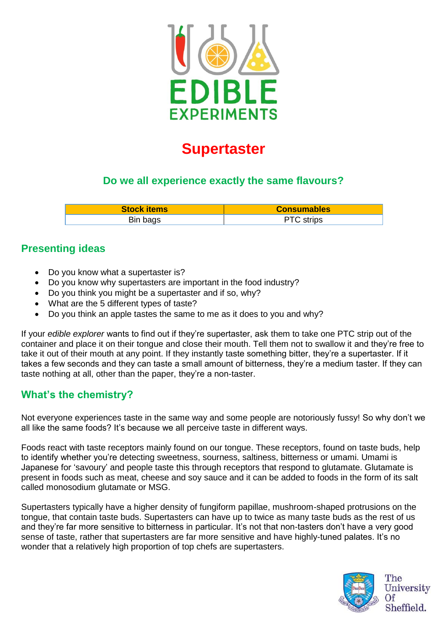

# **Supertaster**

### **Do we all experience exactly the same flavours?**

| <b>Stock items</b> | <b>Consumables</b> |
|--------------------|--------------------|
| Bin bags           | <b>PTC</b> strips  |

#### **Presenting ideas**

- Do you know what a supertaster is?
- Do you know why supertasters are important in the food industry?
- Do you think you might be a supertaster and if so, why?
- What are the 5 different types of taste?
- Do you think an apple tastes the same to me as it does to you and why?

If your *edible explorer* wants to find out if they're supertaster, ask them to take one PTC strip out of the container and place it on their tongue and close their mouth. Tell them not to swallow it and they're free to take it out of their mouth at any point. If they instantly taste something bitter, they're a supertaster. If it takes a few seconds and they can taste a small amount of bitterness, they're a medium taster. If they can taste nothing at all, other than the paper, they're a non-taster.

## **What's the chemistry?**

Not everyone experiences taste in the same way and some people are notoriously fussy! So why don't we all like the same foods? It's because we all perceive taste in different ways.

Foods react with taste receptors mainly found on our tongue. These receptors, found on taste buds, help to identify whether you're detecting sweetness, sourness, saltiness, bitterness or umami. Umami is Japanese for 'savoury' and people taste this through receptors that respond to glutamate. Glutamate is present in foods such as meat, cheese and soy sauce and it can be added to foods in the form of its salt called monosodium glutamate or MSG.

Supertasters typically have a higher density of fungiform papillae, mushroom-shaped protrusions on the tongue, that contain taste buds. Supertasters can have up to twice as many taste buds as the rest of us and they're far more sensitive to bitterness in particular. It's not that non-tasters don't have a very good sense of taste, rather that supertasters are far more sensitive and have highly-tuned palates. It's no wonder that a relatively high proportion of top chefs are supertasters.